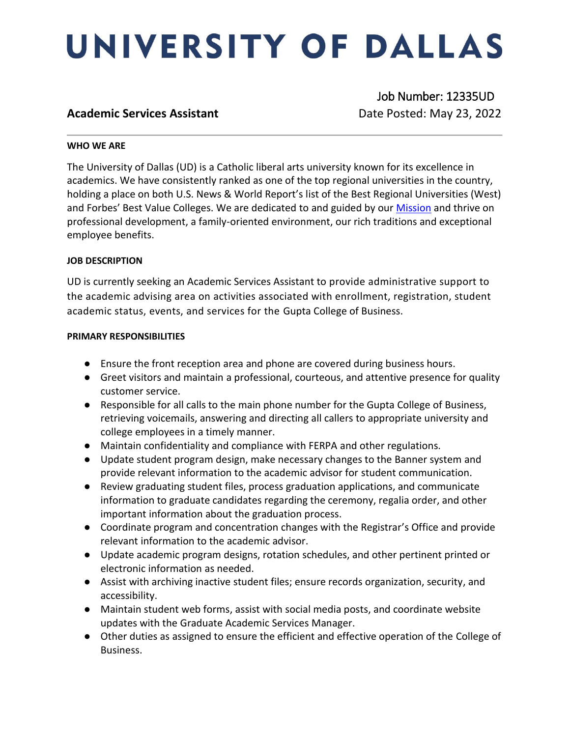# UNIVERSITY OF DALLAS

# **Academic Services Assistant Date Posted: May 23, 2022**

Job Number: 12335UD

## **WHO WE ARE**

The University of Dallas (UD) is a Catholic liberal arts university known for its excellence in academics. We have consistently ranked as one of the top regional universities in the country, holding a place on both U.S. News & World Report's list of the Best Regional Universities (West) and Forbes' Best Value Colleges. We are dedicated to and guided by our [Mission](https://www.udallas.edu/about/mission.php) and thrive on professional development, a family-oriented environment, our rich traditions and exceptional employee benefits.

## **JOB DESCRIPTION**

UD is currently seeking an Academic Services Assistant to provide administrative support to the academic advising area on activities associated with enrollment, registration, student academic status, events, and services for the Gupta College of Business.

#### **PRIMARY RESPONSIBILITIES**

- Ensure the front reception area and phone are covered during business hours.
- Greet visitors and maintain a professional, courteous, and attentive presence for quality customer service.
- Responsible for all calls to the main phone number for the Gupta College of Business, retrieving voicemails, answering and directing all callers to appropriate university and college employees in a timely manner.
- Maintain confidentiality and compliance with FERPA and other regulations.
- Update student program design, make necessary changes to the Banner system and provide relevant information to the academic advisor for student communication.
- Review graduating student files, process graduation applications, and communicate information to graduate candidates regarding the ceremony, regalia order, and other important information about the graduation process.
- Coordinate program and concentration changes with the Registrar's Office and provide relevant information to the academic advisor.
- Update academic program designs, rotation schedules, and other pertinent printed or electronic information as needed.
- Assist with archiving inactive student files; ensure records organization, security, and accessibility.
- Maintain student web forms, assist with social media posts, and coordinate website updates with the Graduate Academic Services Manager.
- Other duties as assigned to ensure the efficient and effective operation of the College of Business.